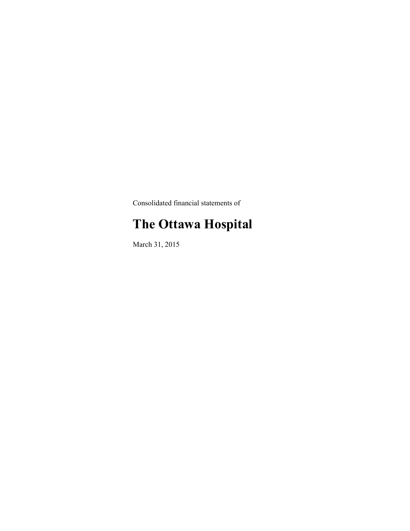Consolidated financial statements of

# **The Ottawa Hospital**

March 31, 2015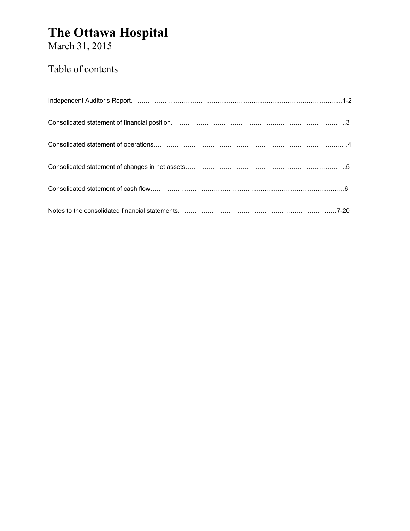<span id="page-1-0"></span>March 31, 2015

### Table of contents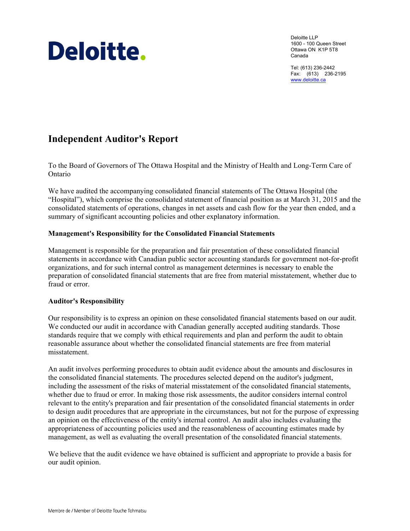# <span id="page-2-0"></span>Deloitte.

 1600 - 100 Queen Street Deloitte LLP Ottawa ON K1P 5T8 Canada

Tel: (613) 236-2442 Fax: (613) 236-2195 www.deloitte.ca

### **[Independent Auditor's Report](#page-1-0)**

To the Board of Governors of The Ottawa Hospital and the Ministry of Health and Long-Term Care of Ontario

We have audited the accompanying consolidated financial statements of The Ottawa Hospital (the "Hospital"), which comprise the consolidated statement of financial position as at March 31, 2015 and the consolidated statements of operations, changes in net assets and cash flow for the year then ended, and a summary of significant accounting policies and other explanatory information.

#### **Management's Responsibility for the Consolidated Financial Statements**

Management is responsible for the preparation and fair presentation of these consolidated financial statements in accordance with Canadian public sector accounting standards for government not-for-profit organizations, and for such internal control as management determines is necessary to enable the preparation of consolidated financial statements that are free from material misstatement, whether due to fraud or error.

#### **Auditor's Responsibility**

Our responsibility is to express an opinion on these consolidated financial statements based on our audit. We conducted our audit in accordance with Canadian generally accepted auditing standards. Those standards require that we comply with ethical requirements and plan and perform the audit to obtain reasonable assurance about whether the consolidated financial statements are free from material misstatement.

An audit involves performing procedures to obtain audit evidence about the amounts and disclosures in the consolidated financial statements. The procedures selected depend on the auditor's judgment, including the assessment of the risks of material misstatement of the consolidated financial statements, whether due to fraud or error. In making those risk assessments, the auditor considers internal control relevant to the entity's preparation and fair presentation of the consolidated financial statements in order to design audit procedures that are appropriate in the circumstances, but not for the purpose of expressing an opinion on the effectiveness of the entity's internal control. An audit also includes evaluating the appropriateness of accounting policies used and the reasonableness of accounting estimates made by management, as well as evaluating the overall presentation of the consolidated financial statements.

We believe that the audit evidence we have obtained is sufficient and appropriate to provide a basis for our audit opinion.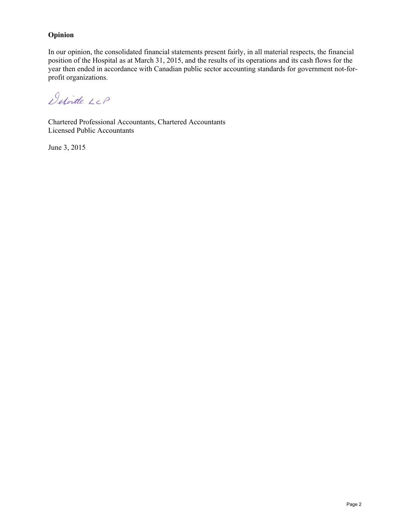#### **Opinion**

In our opinion, the consolidated financial statements present fairly, in all material respects, the financial position of the Hospital as at March 31, 2015, and the results of its operations and its cash flows for the year then ended in accordance with Canadian public sector accounting standards for government not-forprofit organizations.

Detoite LCP

Chartered Professional Accountants, Chartered Accountants Licensed Public Accountants

June 3, 2015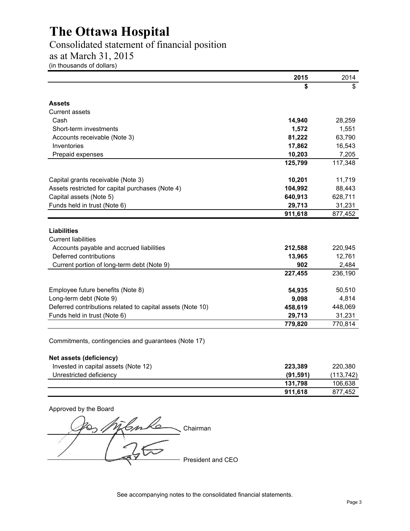### <span id="page-4-0"></span>[Consolidated statement of financial position](#page-1-0)

### as at March 31, 2015

(in thousands of dollars)

|                                                            | 2015    | 2014    |
|------------------------------------------------------------|---------|---------|
|                                                            | \$      | \$      |
| <b>Assets</b>                                              |         |         |
| <b>Current assets</b>                                      |         |         |
| Cash                                                       | 14,940  | 28,259  |
| Short-term investments                                     | 1,572   | 1,551   |
| Accounts receivable (Note 3)                               | 81,222  | 63,790  |
| Inventories                                                | 17,862  | 16,543  |
| Prepaid expenses                                           | 10,203  | 7,205   |
|                                                            | 125,799 | 117,348 |
| Capital grants receivable (Note 3)                         | 10,201  | 11,719  |
| Assets restricted for capital purchases (Note 4)           | 104,992 | 88,443  |
| Capital assets (Note 5)                                    | 640,913 | 628,711 |
| Funds held in trust (Note 6)                               | 29,713  | 31,231  |
|                                                            | 911,618 | 877,452 |
| <b>Liabilities</b>                                         |         |         |
| <b>Current liabilities</b>                                 |         |         |
| Accounts payable and accrued liabilities                   | 212,588 | 220,945 |
| Deferred contributions                                     | 13,965  | 12,761  |
| Current portion of long-term debt (Note 9)                 | 902     | 2,484   |
|                                                            | 227,455 | 236,190 |
| Employee future benefits (Note 8)                          | 54,935  | 50,510  |
| Long-term debt (Note 9)                                    | 9,098   | 4,814   |
| Deferred contributions related to capital assets (Note 10) | 458,619 | 448,069 |
| Funds held in trust (Note 6)                               | 29,713  | 31,231  |
|                                                            | 779,820 | 770,814 |
|                                                            |         |         |
| Commitments, contingencies and guarantees (Note 17)        |         |         |
| Net assets (deficiency)                                    |         |         |
| Invested in capital assets (Note 12)                       | 223,389 | 220,380 |

| Invested in capital assets (NOTE $12)$ ) | 223.389  | 220,380   |
|------------------------------------------|----------|-----------|
| Unrestricted deficiency                  | (91.591) | (113.742) |
|                                          | 131.798  | 106,638   |
|                                          | 911.618  | 877.452   |

j Approved by the Board Chairman President and CEO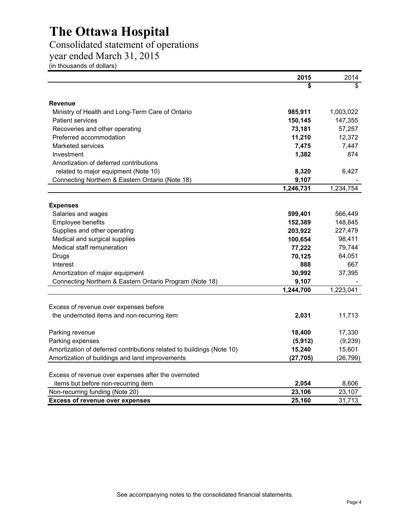### <span id="page-5-0"></span>Consolidated statement of operations

year ended March 31, 2015

(in thousands of dollars)

|                                                                       | 2015      | 2014      |
|-----------------------------------------------------------------------|-----------|-----------|
|                                                                       | \$        | \$        |
| <b>Revenue</b>                                                        |           |           |
| Ministry of Health and Long-Term Care of Ontario                      | 985,911   | 1,003,022 |
| <b>Patient services</b>                                               | 150,145   | 147,355   |
| Recoveries and other operating                                        | 73,181    | 57,257    |
| Preferred accommodation                                               | 11,210    | 12,372    |
| <b>Marketed services</b>                                              | 7,475     | 7,447     |
| Investment                                                            | 1,382     | 874       |
| Amortization of deferred contributions                                |           |           |
| related to major equipment (Note 10)                                  | 8,320     | 6,427     |
| Connecting Northern & Eastern Ontario (Note 18)                       | 9,107     |           |
|                                                                       | 1,246,731 | 1,234,754 |
|                                                                       |           |           |
| <b>Expenses</b><br>Salaries and wages                                 | 599,401   | 566,449   |
| Employee benefits                                                     | 152,389   | 148,845   |
| Supplies and other operating                                          | 203,922   | 227,479   |
| Medical and surgical supplies                                         | 100,654   | 98,411    |
| Medical staff remuneration                                            | 77,222    | 79,744    |
| Drugs                                                                 | 70,125    | 64,051    |
| Interest                                                              | 888       | 667       |
| Amortization of major equipment                                       | 30,992    | 37,395    |
| Connecting Northern & Eastern Ontario Program (Note 18)               | 9,107     |           |
|                                                                       | 1,244,700 | 1,223,041 |
| Excess of revenue over expenses before                                |           |           |
| the undernoted items and non-recurring item                           | 2,031     | 11,713    |
|                                                                       |           |           |
| Parking revenue                                                       | 18,400    | 17,330    |
| Parking expenses                                                      | (5, 912)  | (9,239)   |
| Amortization of deferred contributions related to buildings (Note 10) | 15,240    | 15,601    |
| Amortization of buildings and land improvements                       | (27, 705) | (26, 799) |
| Excess of revenue over expenses after the overnoted                   |           |           |
| items but before non-recurring item                                   | 2,054     | 8,606     |
| Non-recurring funding (Note 20)                                       | 23,106    | 23,107    |
| <b>Excess of revenue over expenses</b>                                | 25,160    | 31,713    |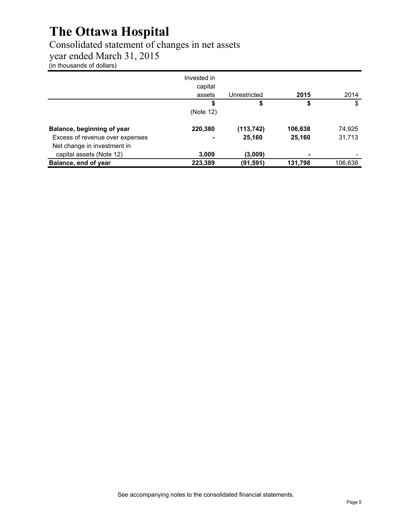### <span id="page-6-0"></span>[Consolidated statement of changes in net assets](#page-1-0)

year ended March 31, 2015

(in thousands of dollars)

|                                 | Invested in<br>capital<br>assets | Unrestricted | 2015    | 2014    |
|---------------------------------|----------------------------------|--------------|---------|---------|
|                                 |                                  | \$           | \$      | \$      |
|                                 | (Note 12)                        |              |         |         |
| Balance, beginning of year      | 220,380                          | (113, 742)   | 106,638 | 74,925  |
| Excess of revenue over expenses |                                  | 25,160       | 25,160  | 31,713  |
| Net change in investment in     |                                  |              |         |         |
| capital assets (Note 12)        | 3,009                            | (3,009)      |         |         |
| Balance, end of year            | 223,389                          | (91, 591)    | 131,798 | 106,638 |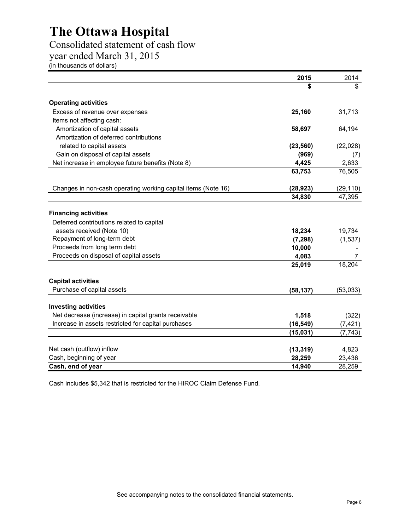### <span id="page-7-0"></span>Consolidated statement of cash flow

year ended March 31, 2015

(in thousands of dollars)

|                                                               | 2015      | 2014      |
|---------------------------------------------------------------|-----------|-----------|
|                                                               | \$        | \$        |
| <b>Operating activities</b>                                   |           |           |
| Excess of revenue over expenses                               | 25,160    | 31,713    |
| Items not affecting cash:                                     |           |           |
| Amortization of capital assets                                | 58,697    | 64,194    |
| Amortization of deferred contributions                        |           |           |
| related to capital assets                                     | (23, 560) | (22, 028) |
| Gain on disposal of capital assets                            | (969)     | (7)       |
| Net increase in employee future benefits (Note 8)             | 4,425     | 2,633     |
|                                                               | 63,753    | 76,505    |
| Changes in non-cash operating working capital items (Note 16) | (28, 923) | (29, 110) |
|                                                               | 34,830    | 47,395    |
| <b>Financing activities</b>                                   |           |           |
| Deferred contributions related to capital                     |           |           |
| assets received (Note 10)                                     | 18,234    | 19,734    |
| Repayment of long-term debt                                   | (7, 298)  | (1, 537)  |
| Proceeds from long term debt                                  | 10,000    |           |
| Proceeds on disposal of capital assets                        | 4,083     | 7         |
|                                                               | 25,019    | 18,204    |
| <b>Capital activities</b>                                     |           |           |
| Purchase of capital assets                                    | (58, 137) | (53,033)  |
| <b>Investing activities</b>                                   |           |           |
| Net decrease (increase) in capital grants receivable          | 1,518     | (322)     |
| Increase in assets restricted for capital purchases           | (16, 549) | (7, 421)  |
|                                                               | (15, 031) | (7, 743)  |
| Net cash (outflow) inflow                                     | (13, 319) | 4,823     |
| Cash, beginning of year                                       | 28,259    | 23,436    |
| Cash, end of year                                             | 14,940    | 28,259    |

Cash includes \$5,342 that is restricted for the HIROC Claim Defense Fund.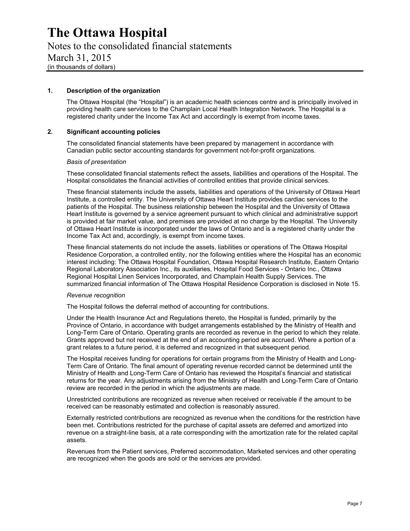<span id="page-8-0"></span>[Notes to the consolidated financial statements](#page-1-0)  March 31, 2015 (in thousands of dollars)

#### **1. Description of the organization**

The Ottawa Hospital (the "Hospital") is an academic health sciences centre and is principally involved in providing health care services to the Champlain Local Health Integration Network. The Hospital is a registered charity under the Income Tax Act and accordingly is exempt from income taxes.

#### **2. Significant accounting policies**

The consolidated financial statements have been prepared by management in accordance with Canadian public sector accounting standards for government not-for-profit organizations.

#### *Basis of presentation*

These consolidated financial statements reflect the assets, liabilities and operations of the Hospital. The Hospital consolidates the financial activities of controlled entities that provide clinical services.

These financial statements include the assets, liabilities and operations of the University of Ottawa Heart Institute, a controlled entity. The University of Ottawa Heart Institute provides cardiac services to the patients of the Hospital. The business relationship between the Hospital and the University of Ottawa Heart Institute is governed by a service agreement pursuant to which clinical and administrative support is provided at fair market value, and premises are provided at no charge by the Hospital. The University of Ottawa Heart Institute is incorporated under the laws of Ontario and is a registered charity under the Income Tax Act and, accordingly, is exempt from income taxes.

These financial statements do not include the assets, liabilities or operations of The Ottawa Hospital Residence Corporation, a controlled entity, nor the following entities where the Hospital has an economic interest including: The Ottawa Hospital Foundation, Ottawa Hospital Research Institute, Eastern Ontario Regional Laboratory Association Inc., its auxiliaries, Hospital Food Services - Ontario Inc., Ottawa Regional Hospital Linen Services Incorporated, and Champlain Health Supply Services. The summarized financial information of The Ottawa Hospital Residence Corporation is disclosed in Note 15.

#### *Revenue recognition*

The Hospital follows the deferral method of accounting for contributions.

Under the Health Insurance Act and Regulations thereto, the Hospital is funded, primarily by the Province of Ontario, in accordance with budget arrangements established by the Ministry of Health and Long-Term Care of Ontario. Operating grants are recorded as revenue in the period to which they relate. Grants approved but not received at the end of an accounting period are accrued. Where a portion of a grant relates to a future period, it is deferred and recognized in that subsequent period.

The Hospital receives funding for operations for certain programs from the Ministry of Health and Long-Term Care of Ontario. The final amount of operating revenue recorded cannot be determined until the Ministry of Health and Long-Term Care of Ontario has reviewed the Hospital's financial and statistical returns for the year. Any adjustments arising from the Ministry of Health and Long-Term Care of Ontario review are recorded in the period in which the adjustments are made.

Unrestricted contributions are recognized as revenue when received or receivable if the amount to be received can be reasonably estimated and collection is reasonably assured.

Externally restricted contributions are recognized as revenue when the conditions for the restriction have been met. Contributions restricted for the purchase of capital assets are deferred and amortized into revenue on a straight-line basis, at a rate corresponding with the amortization rate for the related capital assets.

Revenues from the Patient services, Preferred accommodation, Marketed services and other operating are recognized when the goods are sold or the services are provided.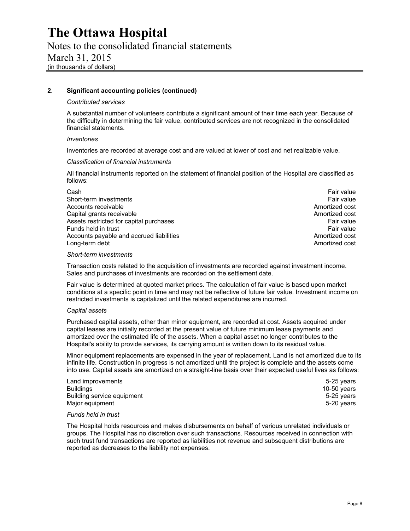Notes to the consolidated financial statements March 31, 2015 (in thousands of dollars)

#### **2. Significant accounting policies (continued)**

#### *Contributed services*

A substantial number of volunteers contribute a significant amount of their time each year. Because of the difficulty in determining the fair value, contributed services are not recognized in the consolidated financial statements.

#### *Inventories*

Inventories are recorded at average cost and are valued at lower of cost and net realizable value.

#### *Classification of financial instruments*

All financial instruments reported on the statement of financial position of the Hospital are classified as follows:

| Cash                                     | Fair value     |
|------------------------------------------|----------------|
| Short-term investments                   | Fair value     |
| Accounts receivable                      | Amortized cost |
| Capital grants receivable                | Amortized cost |
| Assets restricted for capital purchases  | Fair value     |
| Funds held in trust                      | Fair value     |
| Accounts payable and accrued liabilities | Amortized cost |
| Long-term debt                           | Amortized cost |

#### *Short-term investments*

Transaction costs related to the acquisition of investments are recorded against investment income. Sales and purchases of investments are recorded on the settlement date.

Fair value is determined at quoted market prices. The calculation of fair value is based upon market conditions at a specific point in time and may not be reflective of future fair value. Investment income on restricted investments is capitalized until the related expenditures are incurred.

#### *Capital assets*

Purchased capital assets, other than minor equipment, are recorded at cost. Assets acquired under capital leases are initially recorded at the present value of future minimum lease payments and amortized over the estimated life of the assets. When a capital asset no longer contributes to the Hospital's ability to provide services, its carrying amount is written down to its residual value.

Minor equipment replacements are expensed in the year of replacement. Land is not amortized due to its infinite life. Construction in progress is not amortized until the project is complete and the assets come into use. Capital assets are amortized on a straight-line basis over their expected useful lives as follows:

| Land improvements          | 5-25 years    |
|----------------------------|---------------|
| Buildings                  | 10-50 $years$ |
| Building service equipment | 5-25 vears    |
| Major equipment            | 5-20 vears    |

#### *Funds held in trust*

The Hospital holds resources and makes disbursements on behalf of various unrelated individuals or groups. The Hospital has no discretion over such transactions. Resources received in connection with such trust fund transactions are reported as liabilities not revenue and subsequent distributions are reported as decreases to the liability not expenses.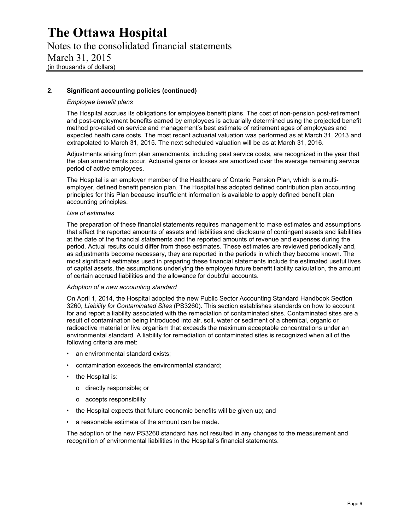Notes to the consolidated financial statements March 31, 2015 (in thousands of dollars)

#### **2. Significant accounting policies (continued)**

#### *Employee benefit plans*

The Hospital accrues its obligations for employee benefit plans. The cost of non-pension post-retirement and post-employment benefits earned by employees is actuarially determined using the projected benefit method pro-rated on service and management's best estimate of retirement ages of employees and expected heath care costs. The most recent actuarial valuation was performed as at March 31, 2013 and extrapolated to March 31, 2015. The next scheduled valuation will be as at March 31, 2016.

Adjustments arising from plan amendments, including past service costs, are recognized in the year that the plan amendments occur. Actuarial gains or losses are amortized over the average remaining service period of active employees.

The Hospital is an employer member of the Healthcare of Ontario Pension Plan, which is a multiemployer, defined benefit pension plan. The Hospital has adopted defined contribution plan accounting principles for this Plan because insufficient information is available to apply defined benefit plan accounting principles.

#### *Use of estimates*

The preparation of these financial statements requires management to make estimates and assumptions that affect the reported amounts of assets and liabilities and disclosure of contingent assets and liabilities at the date of the financial statements and the reported amounts of revenue and expenses during the period. Actual results could differ from these estimates. These estimates are reviewed periodically and, as adjustments become necessary, they are reported in the periods in which they become known. The most significant estimates used in preparing these financial statements include the estimated useful lives of capital assets, the assumptions underlying the employee future benefit liability calculation, the amount of certain accrued liabilities and the allowance for doubtful accounts.

#### *Adoption of a new accounting standard*

 On April 1, 2014, the Hospital adopted the new Public Sector Accounting Standard Handbook Section 3260, *Liability for Contaminated Sites* (PS3260). This section establishes standards on how to account for and report a liability associated with the remediation of contaminated sites. Contaminated sites are a result of contamination being introduced into air, soil, water or sediment of a chemical, organic or radioactive material or live organism that exceeds the maximum acceptable concentrations under an environmental standard. A liability for remediation of contaminated sites is recognized when all of the following criteria are met:

- an environmental standard exists;
- contamination exceeds the environmental standard;
- the Hospital is:
	- o directly responsible; or
	- o accepts responsibility
- the Hospital expects that future economic benefits will be given up; and<br>• a reasonable estimate of the amount can be made.
- 

The adoption of the new PS3260 standard has not resulted in any changes to the measurement and recognition of environmental liabilities in the Hospital's financial statements.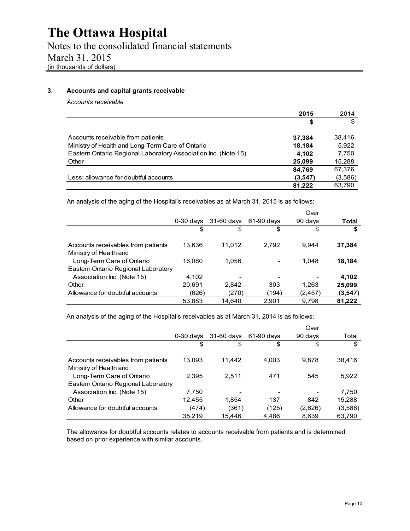Notes to the consolidated financial statements March 31, 2015 (in thousands of dollars)

#### **3. Accounts and capital grants receivable**

*Accounts receivable*

|                                                                | 2015    | 2014    |
|----------------------------------------------------------------|---------|---------|
|                                                                | \$      | \$      |
| Accounts receivable from patients                              | 37,384  | 38.416  |
| Ministry of Health and Long-Term Care of Ontario               | 18,184  | 5.922   |
| Eastern Ontario Regional Laboratory Association Inc. (Note 15) | 4,102   | 7.750   |
| Other                                                          | 25,099  | 15,288  |
|                                                                | 84,769  | 67.376  |
| Less: allowance for doubtful accounts                          | (3,547) | (3,586) |
|                                                                | 81,222  | 63,790  |

An analysis of the aging of the Hospital's receivables as at March 31, 2015 is as follows:

|                                     |             |            |              | Over     |          |
|-------------------------------------|-------------|------------|--------------|----------|----------|
|                                     | $0-30$ days | 31-60 days | $61-90$ days | 90 days  | Total    |
|                                     | \$          | \$         | \$           | \$       | \$       |
| Accounts receivables from patients  | 13.636      | 11.012     | 2.792        | 9.944    | 37,384   |
| Ministry of Health and              |             |            |              |          |          |
| Long-Term Care of Ontario           | 16.080      | 1.056      |              | 1.048    | 18,184   |
| Eastern Ontario Regional Laboratory |             |            |              |          |          |
| Association Inc. (Note 15)          | 4,102       |            |              |          | 4,102    |
| Other                               | 20,691      | 2.842      | 303          | 1,263    | 25,099   |
| Allowance for doubtful accounts     | (626)       | (270)      | (194)        | (2, 457) | (3, 547) |
|                                     | 53,883      | 14.640     | 2,901        | 9,798    | 81,222   |

An analysis of the aging of the Hospital's receivables as at March 31, 2014 is as follows:

|                                     |             |              |            | Over    |         |
|-------------------------------------|-------------|--------------|------------|---------|---------|
|                                     | $0-30$ days | $31-60$ days | 61-90 days | 90 days | Total   |
|                                     | \$          | \$           | \$         | \$      | \$      |
| Accounts receivables from patients  | 13.093      | 11.442       | 4.003      | 9,878   | 38,416  |
| Ministry of Health and              |             |              |            |         |         |
| Long-Term Care of Ontario           | 2.395       | 2.511        | 471        | 545     | 5,922   |
| Eastern Ontario Regional Laboratory |             |              |            |         |         |
| Association Inc. (Note 15)          | 7,750       |              |            |         | 7,750   |
| Other                               | 12,455      | 1.854        | 137        | 842     | 15,288  |
| Allowance for doubtful accounts     | (474)       | (361)        | (125)      | (2,626) | (3,586) |
|                                     | 35.219      | 15.446       | 4.486      | 8.639   | 63.790  |

The allowance for doubtful accounts relates to accounts receivable from patients and is determined based on prior experience with similar accounts.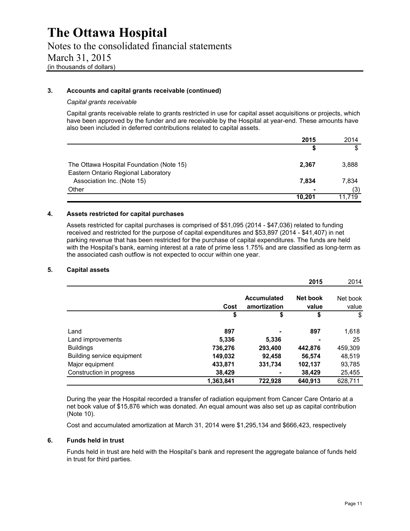#### **3. Accounts and capital grants receivable (continued)**

#### *Capital grants receivable*

Capital grants receivable relate to grants restricted in use for capital asset acquisitions or projects, which have been approved by the funder and are receivable by the Hospital at year-end. These amounts have also been included in deferred contributions related to capital assets.

|                                                                                 | 2015   | 2014   |
|---------------------------------------------------------------------------------|--------|--------|
|                                                                                 | S      | S      |
| The Ottawa Hospital Foundation (Note 15)<br>Eastern Ontario Regional Laboratory | 2.367  | 3,888  |
| Association Inc. (Note 15)                                                      | 7.834  | 7,834  |
| Other                                                                           |        | (3)    |
|                                                                                 | 10,201 | 11.719 |

#### **4. Assets restricted for capital purchases**

Assets restricted for capital purchases is comprised of \$51,095 (2014 - \$47,036) related to funding received and restricted for the purpose of capital expenditures and \$53,897 (2014 - \$41,407) in net parking revenue that has been restricted for the purchase of capital expenditures. The funds are held with the Hospital's bank, earning interest at a rate of prime less 1.75% and are classified as long-term as the associated cash outflow is not expected to occur within one year.

#### **5. Capital assets**

|                            |           |                             | 2015              | 2014              |
|----------------------------|-----------|-----------------------------|-------------------|-------------------|
|                            | Cost      | Accumulated<br>amortization | Net book<br>value | Net book<br>value |
|                            | \$        | \$                          | \$                | \$                |
| Land                       | 897       |                             | 897               | 1,618             |
| Land improvements          | 5,336     | 5,336                       | ٠                 | 25                |
| <b>Buildings</b>           | 736,276   | 293,400                     | 442,876           | 459,309           |
| Building service equipment | 149,032   | 92,458                      | 56,574            | 48,519            |
| Major equipment            | 433,871   | 331,734                     | 102,137           | 93,785            |
| Construction in progress   | 38,429    |                             | 38,429            | 25,455            |
|                            | 1,363,841 | 722.928                     | 640.913           | 628,711           |

During the year the Hospital recorded a transfer of radiation equipment from Cancer Care Ontario at a net book value of \$15,876 which was donated. An equal amount was also set up as capital contribution (Note 10).

Cost and accumulated amortization at March 31, 2014 were \$1,295,134 and \$666,423, respectively

#### **6. Funds held in trust**

Funds held in trust are held with the Hospital's bank and represent the aggregate balance of funds held in trust for third parties.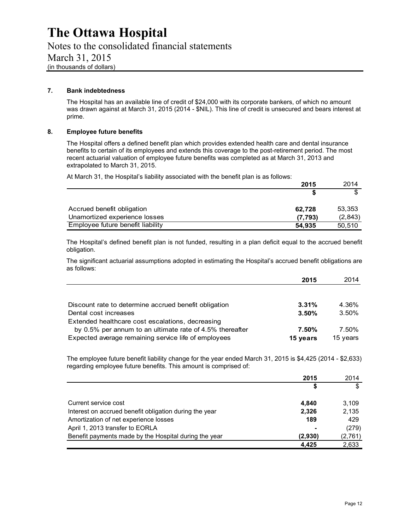Notes to the consolidated financial statements March 31, 2015

(in thousands of dollars)

#### **7. Bank indebtedness**

The Hospital has an available line of credit of \$24,000 with its corporate bankers, of which no amount was drawn against at March 31, 2015 (2014 - \$NIL). This line of credit is unsecured and bears interest at prime.

#### **8. Employee future benefits**

The Hospital offers a defined benefit plan which provides extended health care and dental insurance benefits to certain of its employees and extends this coverage to the post-retirement period. The most recent actuarial valuation of employee future benefits was completed as at March 31, 2013 and extrapolated to March 31, 2015.

At March 31, the Hospital's liability associated with the benefit plan is as follows:

|                                   | 2015    | 2014    |
|-----------------------------------|---------|---------|
|                                   |         |         |
| Accrued benefit obligation        | 62,728  | 53,353  |
| Unamortized experience losses     | (7.793) | (2,843) |
| Employee future benefit liability | 54.935  | 50.510  |

 The Hospital's defined benefit plan is not funded, resulting in a plan deficit equal to the accrued benefit obligation.

The significant actuarial assumptions adopted in estimating the Hospital's accrued benefit obligations are as follows:

|                                                          | 2015     | 2014     |
|----------------------------------------------------------|----------|----------|
|                                                          |          |          |
|                                                          |          |          |
| Discount rate to determine accrued benefit obligation    | 3.31%    | 4.36%    |
| Dental cost increases                                    | 3.50%    | $3.50\%$ |
| Extended healthcare cost escalations, decreasing         |          |          |
| by 0.5% per annum to an ultimate rate of 4.5% thereafter | $7.50\%$ | 7.50%    |
| Expected average remaining service life of employees     | 15 years | 15 years |

The employee future benefit liability change for the year ended March 31, 2015 is \$4,425 (2014 - \$2,633) regarding employee future benefits. This amount is comprised of:

|                                                        | 2015           | 2014    |
|--------------------------------------------------------|----------------|---------|
|                                                        | S              | \$      |
| Current service cost                                   | 4.840          | 3.109   |
| Interest on accrued benefit obligation during the year | 2,326          | 2,135   |
| Amortization of net experience losses                  | 189            | 429     |
| April 1, 2013 transfer to EORLA                        | $\blacksquare$ | (279)   |
| Benefit payments made by the Hospital during the year  | (2,930)        | (2,761) |
|                                                        | 4.425          | 2,633   |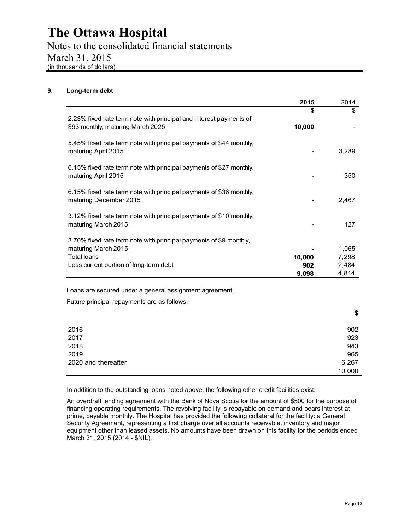Notes to the consolidated financial statements March 31, 2015 (in thousands of dollars)

#### **9. Long-term debt**

|                                                                     | 2015   | 2014  |
|---------------------------------------------------------------------|--------|-------|
|                                                                     | \$     | \$    |
| 2.23% fixed rate term note with principal and interest payments of  |        |       |
| \$93 monthly, maturing March 2025                                   | 10,000 |       |
| 5.45% fixed rate term note with principal payments of \$44 monthly, |        |       |
| maturing April 2015                                                 |        | 3,289 |
|                                                                     |        |       |
| 6.15% fixed rate term note with principal payments of \$27 monthly, |        |       |
| maturing April 2015                                                 |        | 350   |
| 6.15% fixed rate term note with principal payments of \$36 monthly, |        |       |
| maturing December 2015                                              |        | 2,467 |
|                                                                     |        |       |
| 3.12% fixed rate term note with principal payments pf \$10 monthly, |        |       |
| maturing March 2015                                                 |        | 127   |
| 3.70% fixed rate term note with principal payments of \$9 monthly,  |        |       |
| maturing March 2015                                                 |        | 1,065 |
| <b>Total loans</b>                                                  | 10,000 | 7,298 |
| Less current portion of long-term debt                              | 902    | 2,484 |
|                                                                     | 9,098  | 4,814 |
|                                                                     |        |       |
| Loans are secured under a general assignment agreement.             |        |       |
| Future principal repayments are as follows:                         |        |       |
|                                                                     |        | \$    |
| 2016                                                                |        | 902   |
| 2017                                                                |        | 923   |

| 2017                | 923    |
|---------------------|--------|
| 2018                | 943    |
| 2019                | 965    |
| 2020 and thereafter | 6,267  |
|                     | 10,000 |

In addition to the outstanding loans noted above, the following other credit facilities exist:

An overdraft lending agreement with the Bank of Nova Scotia for the amount of \$500 for the purpose of financing operating requirements. The revolving facility is repayable on demand and bears interest at prime, payable monthly. The Hospital has provided the following collateral for the facility: a General Security Agreement, representing a first charge over all accounts receivable, inventory and major equipment other than leased assets. No amounts have been drawn on this facility for the periods ended March 31, 2015 (2014 - \$NIL).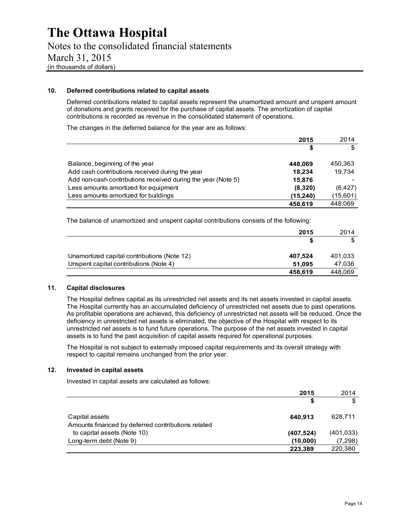Notes to the consolidated financial statements March 31, 2015 (in thousands of dollars)

#### **10. Deferred contributions related to capital assets**

Deferred contributions related to capital assets represent the unamortized amount and unspent amount of donations and grants received for the purchase of capital assets. The amortization of capital contributions is recorded as revenue in the consolidated statement of operations.

The changes in the deferred balance for the year are as follows:

|                                                              | 2015      | 2014     |
|--------------------------------------------------------------|-----------|----------|
|                                                              | S         | \$       |
| Balance, beginning of the year                               | 448,069   | 450,363  |
| Add cash contributions received during the year              | 18.234    | 19.734   |
| Add non-cash contributions received during the year (Note 5) | 15,876    |          |
| Less amounts amortized for equipment                         | (8,320)   | (6, 427) |
| Less amounts amortized for buildings                         | (15, 240) | (15,601) |
|                                                              | 458.619   | 448.069  |

The balance of unamortized and unspent capital contributions consists of the following:

|                                             | 2015    | 2014    |
|---------------------------------------------|---------|---------|
|                                             |         |         |
| Unamortized capital contributions (Note 12) | 407.524 | 401,033 |
| Unspent capital contributions (Note 4)      | 51.095  | 47,036  |
|                                             | 458,619 | 448,069 |

#### **11. Capital disclosures**

The Hospital defines capital as its unrestricted net assets and its net assets invested in capital assets. The Hospital currently has an accumulated deficiency of unrestricted net assets due to past operations. As profitable operations are achieved, this deficiency of unrestricted net assets will be reduced. Once the deficiency in unrestricted net assets is eliminated, the objective of the Hospital with respect to its unrestricted net assets is to fund future operations. The purpose of the net assets invested in capital assets is to fund the past acquisition of capital assets required for operational purposes.

The Hospital is not subject to externally imposed capital requirements and its overall strategy with respect to capital remains unchanged from the prior year.

#### **12. Invested in capital assets**

Invested in capital assets are calculated as follows:

|                                                    | 2015       | 2014       |
|----------------------------------------------------|------------|------------|
|                                                    | S          | \$         |
| Capital assets                                     | 640.913    | 628,711    |
| Amounts financed by deferred contributions related |            |            |
| to capital assets (Note 10)                        | (407, 524) | (401, 033) |
| Long-term debt (Note 9)                            | (10,000)   | (7, 298)   |
|                                                    | 223.389    | 220,380    |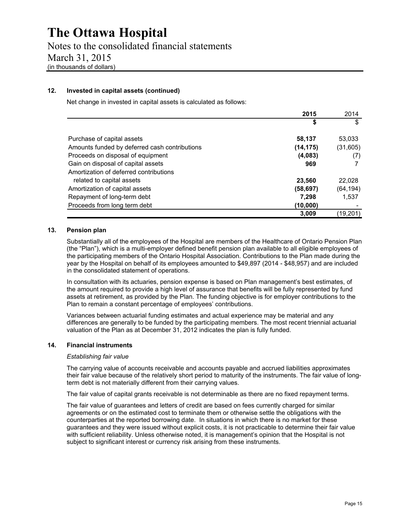Notes to the consolidated financial statements March 31, 2015 (in thousands of dollars)

#### **12. Invested in capital assets (continued)**

Net change in invested in capital assets is calculated as follows:

|                                               | 2015      | 2014      |
|-----------------------------------------------|-----------|-----------|
|                                               | \$        | S         |
| Purchase of capital assets                    | 58,137    | 53,033    |
| Amounts funded by deferred cash contributions | (14, 175) | (31,605)  |
| Proceeds on disposal of equipment             | (4,083)   | (7)       |
| Gain on disposal of capital assets            | 969       |           |
| Amortization of deferred contributions        |           |           |
| related to capital assets                     | 23,560    | 22,028    |
| Amortization of capital assets                | (58, 697) | (64, 194) |
| Repayment of long-term debt                   | 7.298     | 1.537     |
| Proceeds from long term debt                  | (10,000)  |           |
|                                               | 3.009     | (19,201)  |

#### **13. Pension plan**

Substantially all of the employees of the Hospital are members of the Healthcare of Ontario Pension Plan (the "Plan"), which is a multi-employer defined benefit pension plan available to all eligible employees of the participating members of the Ontario Hospital Association. Contributions to the Plan made during the year by the Hospital on behalf of its employees amounted to \$49,897 (2014 - \$48,957) and are included in the consolidated statement of operations.

In consultation with its actuaries, pension expense is based on Plan management's best estimates, of the amount required to provide a high level of assurance that benefits will be fully represented by fund assets at retirement, as provided by the Plan. The funding objective is for employer contributions to the Plan to remain a constant percentage of employees' contributions.

Variances between actuarial funding estimates and actual experience may be material and any differences are generally to be funded by the participating members. The most recent triennial actuarial valuation of the Plan as at December 31, 2012 indicates the plan is fully funded.

#### **14. Financial instruments**

#### *Establishing fair value*

The carrying value of accounts receivable and accounts payable and accrued liabilities approximates their fair value because of the relatively short period to maturity of the instruments. The fair value of longterm debt is not materially different from their carrying values.

The fair value of capital grants receivable is not determinable as there are no fixed repayment terms.

The fair value of guarantees and letters of credit are based on fees currently charged for similar agreements or on the estimated cost to terminate them or otherwise settle the obligations with the counterparties at the reported borrowing date. In situations in which there is no market for these guarantees and they were issued without explicit costs, it is not practicable to determine their fair value with sufficient reliability. Unless otherwise noted, it is management's opinion that the Hospital is not subject to significant interest or currency risk arising from these instruments.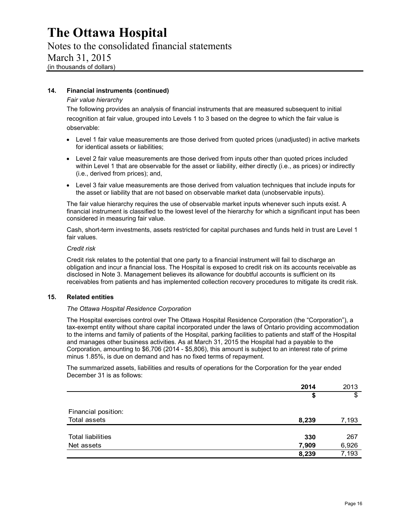Notes to the consolidated financial statements March 31, 2015 (in thousands of dollars)

#### **14. Financial instruments (continued)**

#### *Fair value hierarchy*

The following provides an analysis of financial instruments that are measured subsequent to initial recognition at fair value, grouped into Levels 1 to 3 based on the degree to which the fair value is observable:

- Level 1 fair value measurements are those derived from quoted prices (unadjusted) in active markets for identical assets or liabilities;
- Level 2 fair value measurements are those derived from inputs other than quoted prices included within Level 1 that are observable for the asset or liability, either directly (i.e., as prices) or indirectly (i.e., derived from prices); and,
- Level 3 fair value measurements are those derived from valuation techniques that include inputs for the asset or liability that are not based on observable market data (unobservable inputs).

The fair value hierarchy requires the use of observable market inputs whenever such inputs exist. A financial instrument is classified to the lowest level of the hierarchy for which a significant input has been considered in measuring fair value.

Cash, short-term investments, assets restricted for capital purchases and funds held in trust are Level 1 fair values.

#### *Credit risk*

Credit risk relates to the potential that one party to a financial instrument will fail to discharge an obligation and incur a financial loss. The Hospital is exposed to credit risk on its accounts receivable as disclosed in Note 3. Management believes its allowance for doubtful accounts is sufficient on its receivables from patients and has implemented collection recovery procedures to mitigate its credit risk.

#### **15. Related entities**

#### *The Ottawa Hospital Residence Corporation*

The Hospital exercises control over The Ottawa Hospital Residence Corporation (the "Corporation"), a tax-exempt entity without share capital incorporated under the laws of Ontario providing accommodation to the interns and family of patients of the Hospital, parking facilities to patients and staff of the Hospital and manages other business activities. As at March 31, 2015 the Hospital had a payable to the Corporation, amounting to \$6,706 (2014 - \$5,806), this amount is subject to an interest rate of prime minus 1.85%, is due on demand and has no fixed terms of repayment.

The summarized assets, liabilities and results of operations for the Corporation for the year ended December 31 is as follows:

|                          | 2014  | 2013  |
|--------------------------|-------|-------|
|                          | \$    | \$    |
| Financial position:      |       |       |
| Total assets             | 8,239 | 7,193 |
|                          |       |       |
| <b>Total liabilities</b> | 330   | 267   |
| Net assets               | 7,909 | 6,926 |
|                          | 8,239 | 7,193 |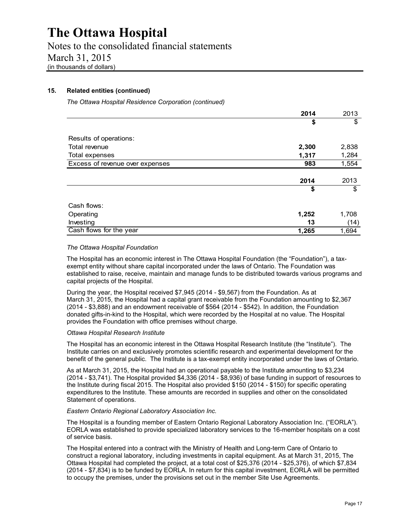Notes to the consolidated financial statements March 31, 2015 (in thousands of dollars)

#### **15. Related entities (continued)**

*The Ottawa Hospital Residence Corporation (continued)* 

|                                 | 2014  | 2013  |
|---------------------------------|-------|-------|
|                                 | \$    | \$    |
| Results of operations:          |       |       |
| Total revenue                   | 2,300 | 2,838 |
| Total expenses                  | 1,317 | 1,284 |
| Excess of revenue over expenses | 983   | 1,554 |
|                                 |       |       |
|                                 | 2014  | 2013  |
|                                 | \$    | \$    |
| Cash flows:                     |       |       |
| Operating                       | 1,252 | 1,708 |
| Investing                       | 13    | (14)  |
| Cash flows for the year         | 1,265 | 1,694 |

#### *The Ottawa Hospital Foundation*

The Hospital has an economic interest in The Ottawa Hospital Foundation (the "Foundation"), a taxexempt entity without share capital incorporated under the laws of Ontario. The Foundation was established to raise, receive, maintain and manage funds to be distributed towards various programs and capital projects of the Hospital.

During the year, the Hospital received \$7,945 (2014 - \$9,567) from the Foundation. As at March 31, 2015, the Hospital had a capital grant receivable from the Foundation amounting to \$2,367 (2014 - \$3,888) and an endowment receivable of \$564 (2014 - \$542). In addition, the Foundation donated gifts-in-kind to the Hospital, which were recorded by the Hospital at no value. The Hospital provides the Foundation with office premises without charge.

#### *Ottawa Hospital Research Institute*

The Hospital has an economic interest in the Ottawa Hospital Research Institute (the "Institute"). The Institute carries on and exclusively promotes scientific research and experimental development for the benefit of the general public. The Institute is a tax-exempt entity incorporated under the laws of Ontario.

As at March 31, 2015, the Hospital had an operational payable to the Institute amounting to \$3,234 (2014 - \$3,741). The Hospital provided \$4,336 (2014 - \$8,936) of base funding in support of resources to the Institute during fiscal 2015. The Hospital also provided \$150 (2014 - \$150) for specific operating expenditures to the Institute. These amounts are recorded in supplies and other on the consolidated Statement of operations.

#### *Eastern Ontario Regional Laboratory Association Inc.*

The Hospital is a founding member of Eastern Ontario Regional Laboratory Association Inc. ("EORLA"). EORLA was established to provide specialized laboratory services to the 16-member hospitals on a cost of service basis.

The Hospital entered into a contract with the Ministry of Health and Long-term Care of Ontario to construct a regional laboratory, including investments in capital equipment. As at March 31, 2015, The Ottawa Hospital had completed the project, at a total cost of \$25,376 (2014 - \$25,376), of which \$7,834 (2014 - \$7,834) is to be funded by EORLA. In return for this capital investment, EORLA will be permitted to occupy the premises, under the provisions set out in the member Site Use Agreements.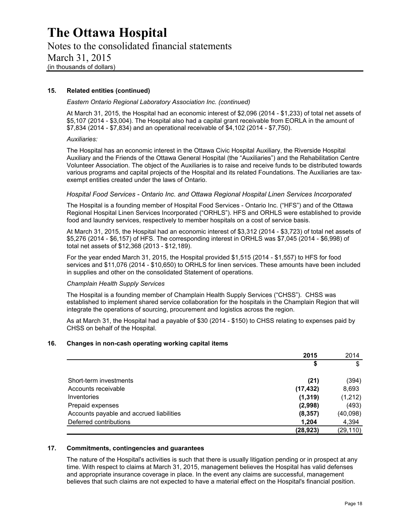Notes to the consolidated financial statements March 31, 2015 (in thousands of dollars)

#### **15. Related entities (continued)**

#### *Eastern Ontario Regional Laboratory Association Inc. (continued)*

At March 31, 2015, the Hospital had an economic interest of \$2,096 (2014 - \$1,233) of total net assets of \$5,107 (2014 - \$3,004). The Hospital also had a capital grant receivable from EORLA in the amount of \$7,834 (2014 - \$7,834) and an operational receivable of \$4,102 (2014 - \$7,750).

#### *Auxiliaries:*

The Hospital has an economic interest in the Ottawa Civic Hospital Auxiliary, the Riverside Hospital Auxiliary and the Friends of the Ottawa General Hospital (the "Auxiliaries") and the Rehabilitation Centre Volunteer Association. The object of the Auxiliaries is to raise and receive funds to be distributed towards various programs and capital projects of the Hospital and its related Foundations. The Auxiliaries are taxexempt entities created under the laws of Ontario.

#### *Hospital Food Services - Ontario Inc. and Ottawa Regional Hospital Linen Services Incorporated*

The Hospital is a founding member of Hospital Food Services - Ontario Inc. ("HFS") and of the Ottawa Regional Hospital Linen Services Incorporated ("ORHLS"). HFS and ORHLS were established to provide food and laundry services, respectively to member hospitals on a cost of service basis.

At March 31, 2015, the Hospital had an economic interest of \$3,312 (2014 - \$3,723) of total net assets of \$5,276 (2014 - \$6,157) of HFS. The corresponding interest in ORHLS was \$7,045 (2014 - \$6,998) of total net assets of \$12,368 (2013 - \$12,189).

For the year ended March 31, 2015, the Hospital provided \$1,515 (2014 - \$1,557) to HFS for food services and \$11,076 (2014 - \$10,650) to ORHLS for linen services. These amounts have been included in supplies and other on the consolidated Statement of operations.

#### *Champlain Health Supply Services*

The Hospital is a founding member of Champlain Health Supply Services ("CHSS"). CHSS was established to implement shared service collaboration for the hospitals in the Champlain Region that will integrate the operations of sourcing, procurement and logistics across the region.

As at March 31, the Hospital had a payable of \$30 (2014 - \$150) to CHSS relating to expenses paid by CHSS on behalf of the Hospital.

#### **16. Changes in non-cash operating working capital items**

|                                          | 2015      | 2014      |
|------------------------------------------|-----------|-----------|
|                                          | \$        | \$        |
| Short-term investments                   | (21)      | (394)     |
| Accounts receivable                      | (17, 432) | 8,693     |
| Inventories                              | (1, 319)  | (1,212)   |
| Prepaid expenses                         | (2,998)   | (493)     |
| Accounts payable and accrued liabilities | (8, 357)  | (40,098)  |
| Deferred contributions                   | 1,204     | 4,394     |
|                                          | (28, 923) | (29, 110) |

#### **17. Commitments, contingencies and guarantees**

The nature of the Hospital's activities is such that there is usually litigation pending or in prospect at any time. With respect to claims at March 31, 2015, management believes the Hospital has valid defenses and appropriate insurance coverage in place. In the event any claims are successful, management believes that such claims are not expected to have a material effect on the Hospital's financial position.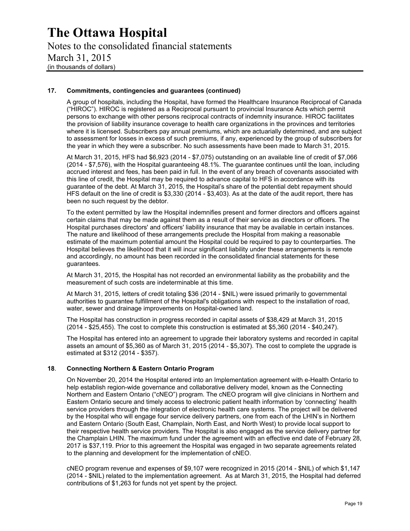#### Notes to the consolidated financial statements March 31, 2015 (in thousands of dollars)

#### **17. Commitments, contingencies and guarantees (continued)**

A group of hospitals, including the Hospital, have formed the Healthcare Insurance Reciprocal of Canada ("HIROC"). HIROC is registered as a Reciprocal pursuant to provincial Insurance Acts which permit persons to exchange with other persons reciprocal contracts of indemnity insurance. HIROC facilitates the provision of liability insurance coverage to health care organizations in the provinces and territories where it is licensed. Subscribers pay annual premiums, which are actuarially determined, and are subject to assessment for losses in excess of such premiums, if any, experienced by the group of subscribers for the year in which they were a subscriber. No such assessments have been made to March 31, 2015.

At March 31, 2015, HFS had \$6,923 (2014 - \$7,075) outstanding on an available line of credit of \$7,066 (2014 - \$7,576), with the Hospital guaranteeing 48.1%. The guarantee continues until the loan, including accrued interest and fees, has been paid in full. In the event of any breach of covenants associated with this line of credit, the Hospital may be required to advance capital to HFS in accordance with its guarantee of the debt. At March 31, 2015, the Hospital's share of the potential debt repayment should HFS default on the line of credit is \$3,330 (2014 - \$3,403). As at the date of the audit report, there has been no such request by the debtor.

To the extent permitted by law the Hospital indemnifies present and former directors and officers against certain claims that may be made against them as a result of their service as directors or officers. The Hospital purchases directors' and officers' liability insurance that may be available in certain instances. The nature and likelihood of these arrangements preclude the Hospital from making a reasonable estimate of the maximum potential amount the Hospital could be required to pay to counterparties. The Hospital believes the likelihood that it will incur significant liability under these arrangements is remote and accordingly, no amount has been recorded in the consolidated financial statements for these guarantees.

At March 31, 2015, the Hospital has not recorded an environmental liability as the probability and the measurement of such costs are indeterminable at this time.

At March 31, 2015, letters of credit totaling \$36 (2014 - \$NIL) were issued primarily to governmental authorities to guarantee fulfillment of the Hospital's obligations with respect to the installation of road, water, sewer and drainage improvements on Hospital-owned land.

The Hospital has construction in progress recorded in capital assets of \$38,429 at March 31, 2015 (2014 - \$25,455). The cost to complete this construction is estimated at \$5,360 (2014 - \$40,247).

The Hospital has entered into an agreement to upgrade their laboratory systems and recorded in capital assets an amount of \$5,360 as of March 31, 2015 (2014 - \$5,307). The cost to complete the upgrade is estimated at \$312 (2014 - \$357).

#### **18**. **Connecting Northern & Eastern Ontario Program**

On November 20, 2014 the Hospital entered into an Implementation agreement with e-Health Ontario to help establish region-wide governance and collaborative delivery model, known as the Connecting Northern and Eastern Ontario ("cNEO") program. The cNEO program will give clinicians in Northern and Eastern Ontario secure and timely access to electronic patient health information by 'connecting' health service providers through the integration of electronic health care systems. The project will be delivered by the Hospital who will engage four service delivery partners, one from each of the LHIN's in Northern and Eastern Ontario (South East, Champlain, North East, and North West) to provide local support to their respective health service providers. The Hospital is also engaged as the service delivery partner for the Champlain LHIN. The maximum fund under the agreement with an effective end date of February 28, 2017 is \$37,119. Prior to this agreement the Hospital was engaged in two separate agreements related to the planning and development for the implementation of cNEO.

cNEO program revenue and expenses of \$9,107 were recognized in 2015 (2014 - \$NIL) of which \$1,147 (2014 - \$NIL) related to the implementation agreement. As at March 31, 2015, the Hospital had deferred contributions of \$1,263 for funds not yet spent by the project.